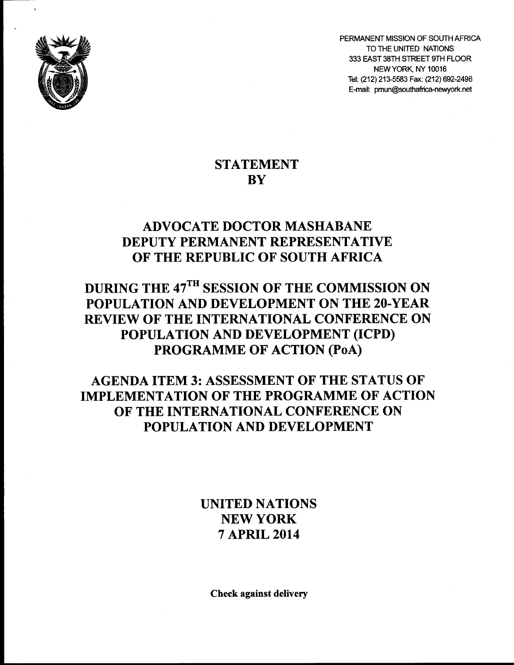

PERMANENT MISSION OF SOUTH AFRICA TO THE UNITED NATIONS 333 EAST 38TH STREET 9TH FLOOR NEW YORK, NY 10016 Tel: (212) 213-5583 Fax: (212) 692-2498 E-mail: pmun@southafrica-newyork.net

## **STATEMENT BY**

## **ADVOCATE DOCTOR MASHABANE DEPUTY PERMANENT REPRESENTATIVE OF THE REPUBLIC OF SOUTH AFRICA**

## **DURING THE 47TH SESSION OF THE COMMISSION ON POPULATION AND DEVELOPMENT ON THE 20-YEAR REVIEW OF THE INTERNATIONAL CONFERENCE ON POPULATION AND DEVELOPMENT (ICPD) PROGRAMME OF ACTION (PoA)**

## **AGENDA ITEM 3: ASSESSMENT OF THE STATUS OF IMPLEMENTATION OF THE PROGRAMME OF ACTION OF THE INTERNATIONAL CONFERENCE ON POPULATION AND DEVELOPMENT**

**UNITED NATIONS NEW YORK 7 APRIL 2014**

**Check against delivery**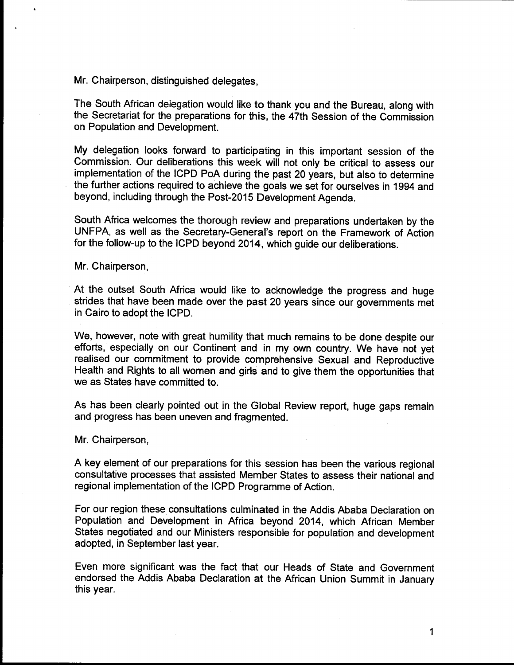**Mr. Chairperson, distinguished delegates,**

**The South African delegation would like to thank you and the Bureau, along with the Secretariat for the preparations for this, the 47th Session of the Commission on Population and Development.**

**My delegation looks forward to participating in this important session of the Commission. Our deliberations this week will not only be critical to assess our implementation of the ICPD PoA during the past 20 years, but also to determine the further actions required to achieve the goals we set for ourselves in 1994 and beyond, including through the Post-2015 Development Agenda.**

**South Africa welcomes the thorough review and preparations undertaken by the UNFPA, as well as the Secretary-General's report on the Framework of Action for the follow-up to the ICPD beyond 2014, which guide our deliberations.**

**Mr. Chairperson,**

**At the outset South Africa would like to acknowledge the progress and huge strides that have been made over the past 20 years since our governments met in Cairo to adopt the ICPD.**

**We, however, note with great humility that much remains to be done despite our efforts, especially on our Continent and in my own country. We have not yet realised our commitment to provide comprehensive Sexual and Reproductive Health and Rights to all women and girls and to give them the opportunities that we as States have committed to.**

**As has been clearly pointed out in the Global Review report, huge gaps remain and progress has been uneven and fragmented.**

**Mr. Chairperson,**

**A key element of our preparations for this session has been the various regional consultative processes that assisted Member States to assess their national and regional implementation of the ICPD Programme of Action.**

**For our region these consultations culminated in the Addis Ababa Declaration on Population and Development in Africa beyond 2014, which African Member States negotiated and our Ministers responsible for population and development adopted, in September last year.**

**Even more significant was the fact that our Heads of State and Government endorsed the Addis Ababa Declaration at the African Union Summit in January this year.**

**1**